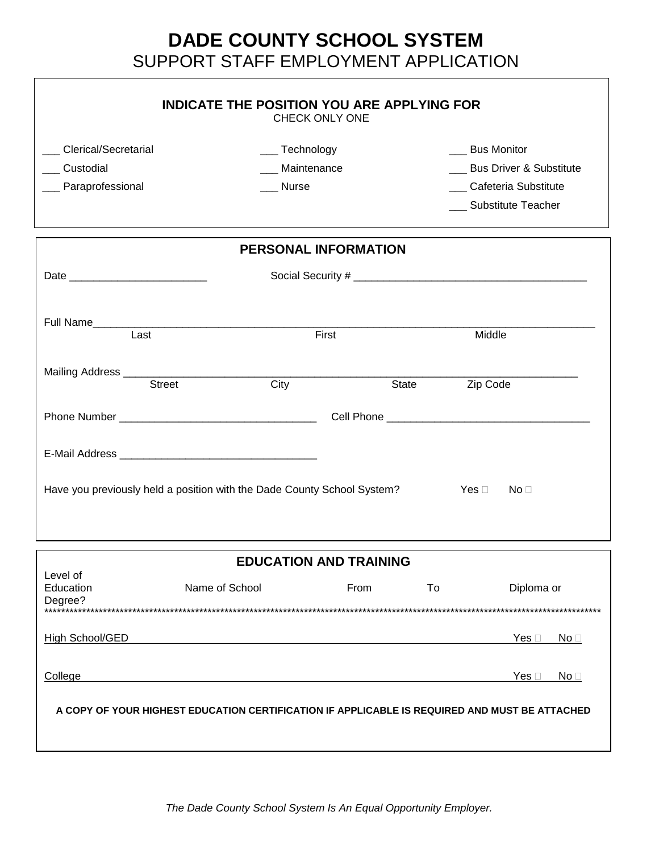## **DADE COUNTY SCHOOL SYSTEM** SUPPORT STAFF EMPLOYMENT APPLICATION

| Clerical/Secretarial | ___ Technology              |                      | <b>Bus Monitor</b>          |  |
|----------------------|-----------------------------|----------------------|-----------------------------|--|
| Custodial            | _ Maintenance               |                      | ___ Bus Driver & Substitute |  |
| _ Paraprofessional   | Nurse                       | Cafeteria Substitute |                             |  |
|                      | <b>Substitute Teacher</b>   |                      |                             |  |
|                      | <b>PERSONAL INFORMATION</b> |                      |                             |  |
|                      |                             |                      |                             |  |
| Full Name<br>Last    | First                       |                      | Middle                      |  |
|                      |                             |                      |                             |  |
| <b>Street</b>        | City                        | State                | Zip Code                    |  |
|                      |                             |                      |                             |  |
|                      |                             |                      |                             |  |

|                                  | <b>EDUCATION AND TRAINING</b>                                                                 |      |    |                          |
|----------------------------------|-----------------------------------------------------------------------------------------------|------|----|--------------------------|
| Level of<br>Education<br>Degree? | Name of School                                                                                | From | To | Diploma or               |
| High School/GED                  |                                                                                               |      |    | Yes [<br>No <sub>1</sub> |
| College                          |                                                                                               |      |    | Yes [<br>No <sub>1</sub> |
|                                  | A COPY OF YOUR HIGHEST EDUCATION CERTIFICATION IF APPLICABLE IS REQUIRED AND MUST BE ATTACHED |      |    |                          |
|                                  |                                                                                               |      |    |                          |